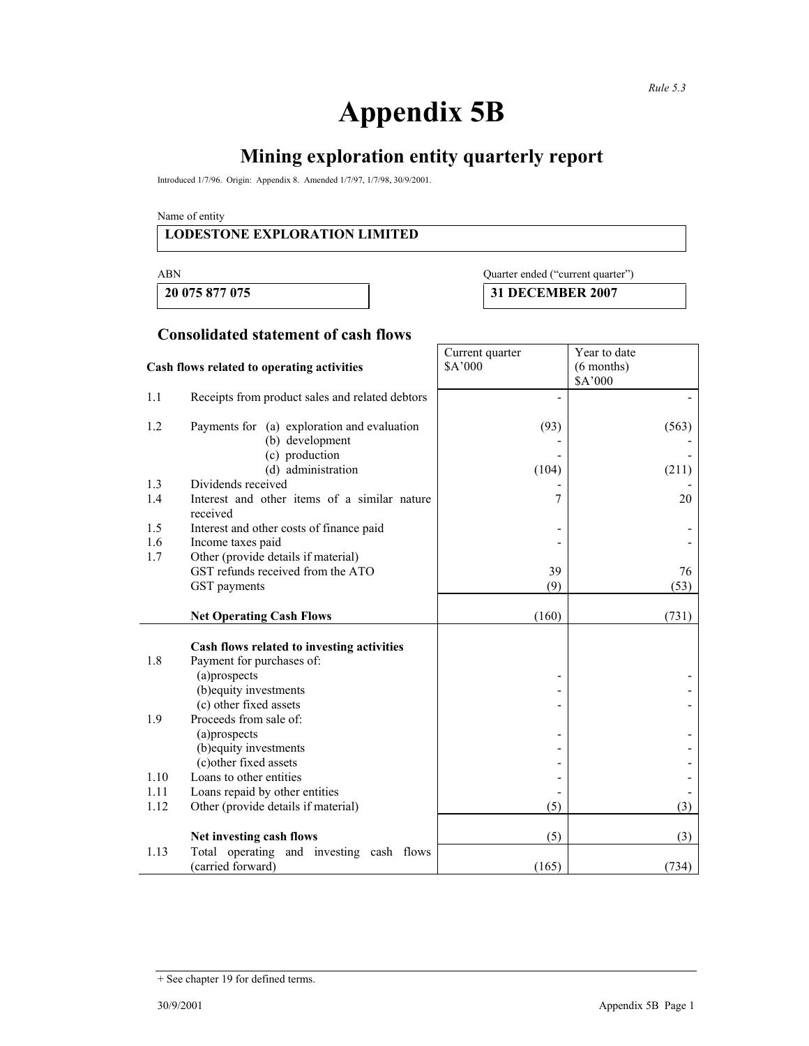٦

# **Appendix 5B**

# **Mining exploration entity quarterly report**

Introduced 1/7/96. Origin: Appendix 8. Amended 1/7/97, 1/7/98, 30/9/2001.

Name of entity

#### **LODESTONE EXPLORATION LIMITED**

### ABN Quarter ended ("current quarter")

**20 075 877 075 31 DECEMBER 2007** 

#### **Consolidated statement of cash flows**

| Cash flows related to operating activities |                                                                | Current quarter<br>\$A'000 | Year to date<br>$(6$ months)<br>\$A'000 |
|--------------------------------------------|----------------------------------------------------------------|----------------------------|-----------------------------------------|
| 1.1                                        | Receipts from product sales and related debtors                |                            |                                         |
| 1.2                                        | Payments for (a) exploration and evaluation<br>(b) development | (93)                       | (563)                                   |
|                                            | (c) production<br>(d) administration                           | (104)                      | (211)                                   |
| 1.3                                        | Dividends received                                             |                            |                                         |
| 1.4                                        | Interest and other items of a similar nature<br>received       | 7                          | 20                                      |
| 1.5                                        | Interest and other costs of finance paid                       |                            |                                         |
| 1.6                                        | Income taxes paid                                              |                            |                                         |
| 1.7                                        | Other (provide details if material)                            |                            |                                         |
|                                            | GST refunds received from the ATO                              | 39                         | 76                                      |
|                                            | GST payments                                                   | (9)                        | (53)                                    |
|                                            | <b>Net Operating Cash Flows</b>                                | (160)                      | (731)                                   |
|                                            | Cash flows related to investing activities                     |                            |                                         |
| 1.8                                        | Payment for purchases of:                                      |                            |                                         |
|                                            | (a)prospects                                                   |                            |                                         |
|                                            | (b) equity investments                                         |                            |                                         |
|                                            | (c) other fixed assets                                         |                            |                                         |
| 1.9                                        | Proceeds from sale of:                                         |                            |                                         |
|                                            | (a)prospects                                                   |                            |                                         |
|                                            | (b) equity investments<br>(c) other fixed assets               |                            |                                         |
| 1.10                                       | Loans to other entities                                        |                            |                                         |
| 1.11                                       | Loans repaid by other entities                                 |                            |                                         |
| 1.12                                       | Other (provide details if material)                            | (5)                        | (3)                                     |
|                                            |                                                                |                            |                                         |
|                                            | Net investing cash flows                                       | (5)                        | (3)                                     |
| 1.13                                       | Total operating and investing cash flows<br>(carried forward)  | (165)                      | (734)                                   |

<sup>+</sup> See chapter 19 for defined terms.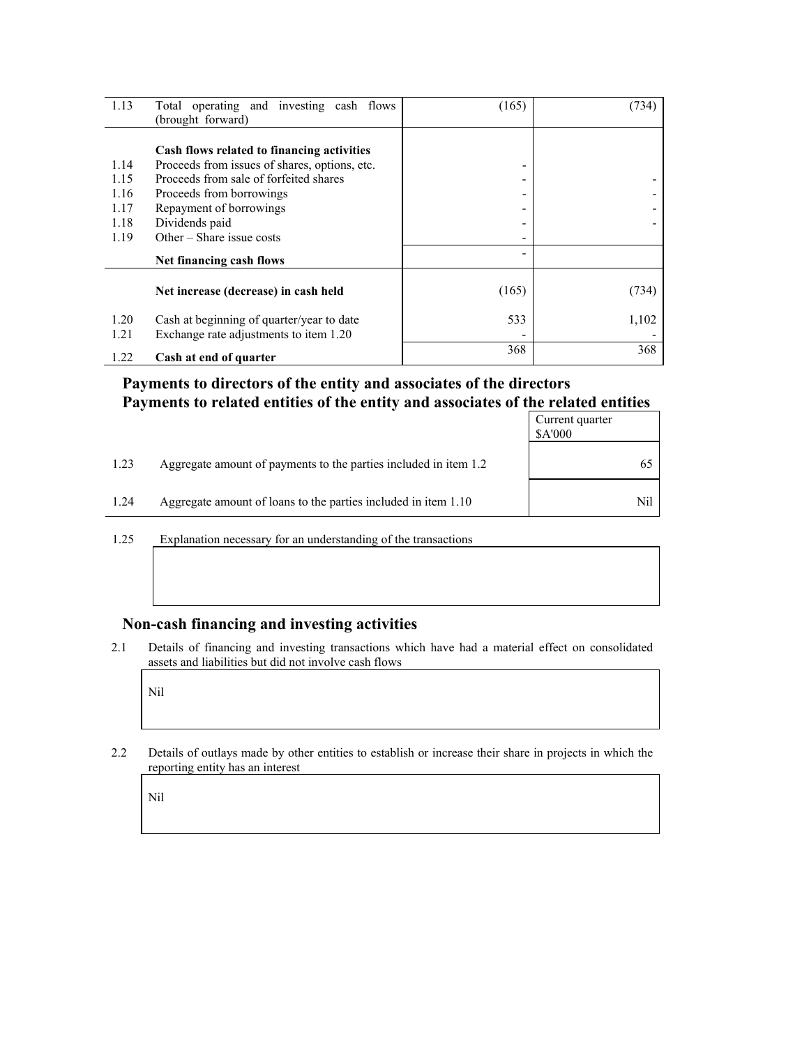| 1.13         | Total operating and investing cash flows                                            | (165) | (734) |
|--------------|-------------------------------------------------------------------------------------|-------|-------|
|              | (brought forward)                                                                   |       |       |
|              | Cash flows related to financing activities                                          |       |       |
| 1.14         | Proceeds from issues of shares, options, etc.                                       | ٠     |       |
| 1.15         | Proceeds from sale of forfeited shares                                              | -     |       |
| 1.16         | Proceeds from borrowings                                                            | -     |       |
| 1.17         | Repayment of borrowings                                                             |       |       |
| 1.18         | Dividends paid                                                                      |       |       |
| 1.19         | Other $-$ Share issue costs                                                         |       |       |
|              | Net financing cash flows                                                            |       |       |
|              | Net increase (decrease) in cash held                                                | (165) | (734) |
| 1.20<br>1.21 | Cash at beginning of quarter/year to date<br>Exchange rate adjustments to item 1.20 | 533   | 1,102 |
| 1.22         | Cash at end of quarter                                                              | 368   | 368   |

### **Payments to directors of the entity and associates of the directors Payments to related entities of the entity and associates of the related entities**

|      |                                                                  | Current quarter<br>\$A'000 |
|------|------------------------------------------------------------------|----------------------------|
| 1.23 | Aggregate amount of payments to the parties included in item 1.2 |                            |
| 1.24 | Aggregate amount of loans to the parties included in item 1.10   | Nil                        |

1.25 Explanation necessary for an understanding of the transactions

#### **Non-cash financing and investing activities**

2.1 Details of financing and investing transactions which have had a material effect on consolidated assets and liabilities but did not involve cash flows

Nil

2.2 Details of outlays made by other entities to establish or increase their share in projects in which the reporting entity has an interest

Nil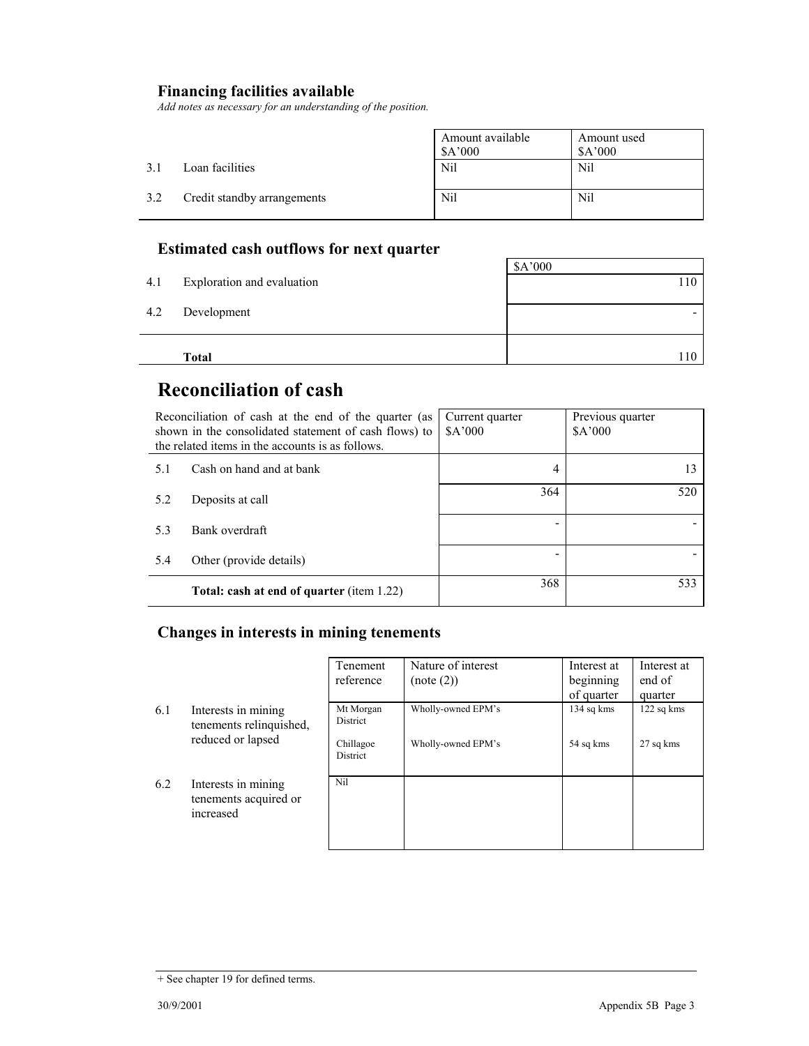### **Financing facilities available**

*Add notes as necessary for an understanding of the position.* 

|     |                             | Amount available<br>\$A'000 | Amount used<br>\$A'000 |
|-----|-----------------------------|-----------------------------|------------------------|
| 31  | Loan facilities             | <b>Nil</b>                  | Nil                    |
| 3.2 | Credit standby arrangements | Nil                         | Nil                    |

### **Estimated cash outflows for next quarter**

|     | Total                      | 110     |
|-----|----------------------------|---------|
| 4.2 | Development                |         |
|     |                            |         |
| 4.1 | Exploration and evaluation | 110     |
|     |                            | \$A'000 |

## **Reconciliation of cash**

| Reconciliation of cash at the end of the quarter (as<br>shown in the consolidated statement of cash flows) to<br>the related items in the accounts is as follows. |                                                  | Current quarter<br>A'000 | Previous quarter<br>\$A'000 |
|-------------------------------------------------------------------------------------------------------------------------------------------------------------------|--------------------------------------------------|--------------------------|-----------------------------|
| 5.1                                                                                                                                                               | Cash on hand and at bank                         | 4                        | 13                          |
| 5.2                                                                                                                                                               | Deposits at call                                 | 364                      | 520                         |
| 5.3                                                                                                                                                               | Bank overdraft                                   |                          |                             |
| 5.4                                                                                                                                                               | Other (provide details)                          |                          |                             |
|                                                                                                                                                                   | <b>Total: cash at end of quarter (item 1.22)</b> | 368                      | 533                         |

### **Changes in interests in mining tenements**

|     |                                                           | Tenement              | Nature of interest | Interest at | Interest at |
|-----|-----------------------------------------------------------|-----------------------|--------------------|-------------|-------------|
|     |                                                           | reference             | (note (2))         | beginning   | end of      |
|     |                                                           |                       |                    | of quarter  | quarter     |
| 6.1 | Interests in mining<br>tenements relinquished,            | Mt Morgan<br>District | Wholly-owned EPM's | 134 sq kms  | 122 sq kms  |
|     | reduced or lapsed                                         | Chillagoe<br>District | Wholly-owned EPM's | 54 sq kms   | 27 sq kms   |
| 6.2 | Interests in mining<br>tenements acquired or<br>increased | Nil                   |                    |             |             |

<sup>+</sup> See chapter 19 for defined terms.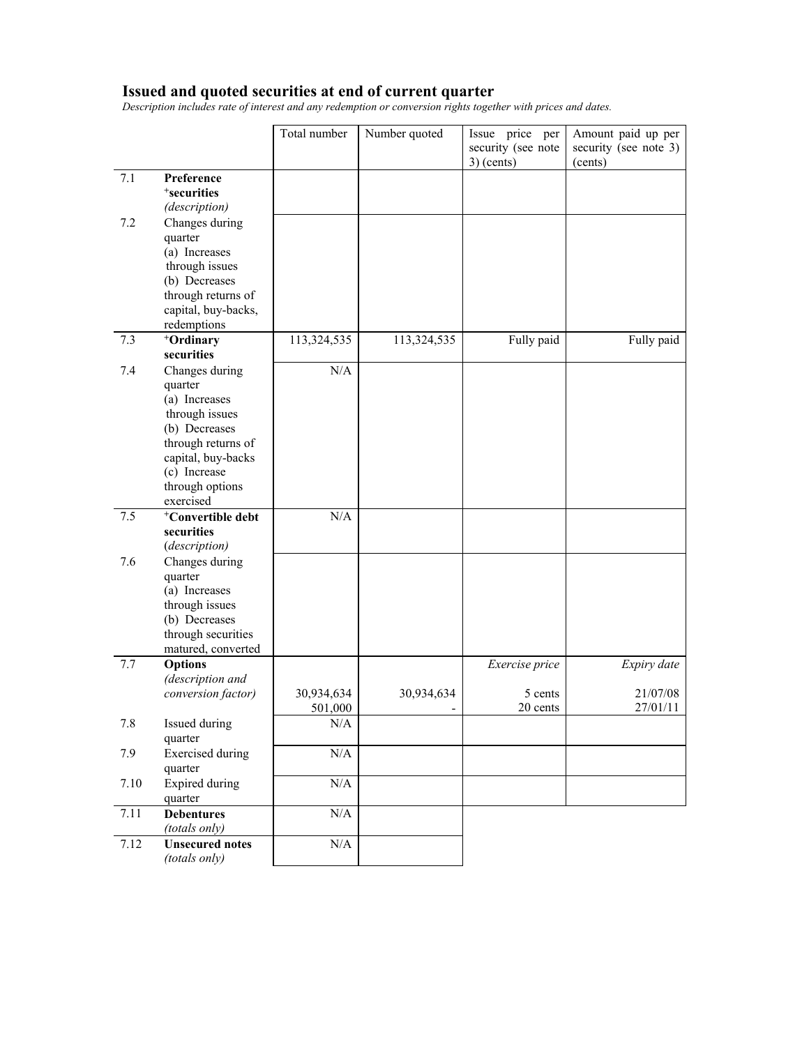#### **Issued and quoted securities at end of current quarter**

*Description includes rate of interest and any redemption or conversion rights together with prices and dates.* 

|      |                                                                                                                                                                           | Total number         | Number quoted | Issue price per<br>security (see note<br>$3)$ (cents) | Amount paid up per<br>security (see note 3)<br>(cents) |
|------|---------------------------------------------------------------------------------------------------------------------------------------------------------------------------|----------------------|---------------|-------------------------------------------------------|--------------------------------------------------------|
| 7.1  | Preference<br><sup>+</sup> securities                                                                                                                                     |                      |               |                                                       |                                                        |
| 7.2  | (description)<br>Changes during<br>quarter<br>(a) Increases<br>through issues<br>(b) Decreases<br>through returns of<br>capital, buy-backs,                               |                      |               |                                                       |                                                        |
| 7.3  | redemptions<br>+Ordinary<br>securities                                                                                                                                    | 113,324,535          | 113,324,535   | Fully paid                                            | Fully paid                                             |
| 7.4  | Changes during<br>quarter<br>(a) Increases<br>through issues<br>(b) Decreases<br>through returns of<br>capital, buy-backs<br>(c) Increase<br>through options<br>exercised | N/A                  |               |                                                       |                                                        |
| 7.5  | <sup>+</sup> Convertible debt<br>securities                                                                                                                               | N/A                  |               |                                                       |                                                        |
| 7.6  | (description)<br>Changes during<br>quarter<br>(a) Increases<br>through issues<br>(b) Decreases<br>through securities<br>matured, converted                                |                      |               |                                                       |                                                        |
| 7.7  | <b>Options</b><br>(description and<br>conversion factor)                                                                                                                  | 30,934,634           | 30,934,634    | Exercise price<br>5 cents                             | Expiry date<br>21/07/08                                |
| 7.8  | Issued during                                                                                                                                                             | 501,000<br>$\rm N/A$ |               | 20 cents                                              | 27/01/11                                               |
| 7.9  | quarter<br><b>Exercised</b> during<br>quarter                                                                                                                             | $\rm N/A$            |               |                                                       |                                                        |
| 7.10 | Expired during<br>quarter                                                                                                                                                 | $\rm N/A$            |               |                                                       |                                                        |
| 7.11 | <b>Debentures</b><br>(totals only)                                                                                                                                        | $\rm N/A$            |               |                                                       |                                                        |
| 7.12 | <b>Unsecured notes</b><br>(totals only)                                                                                                                                   | N/A                  |               |                                                       |                                                        |